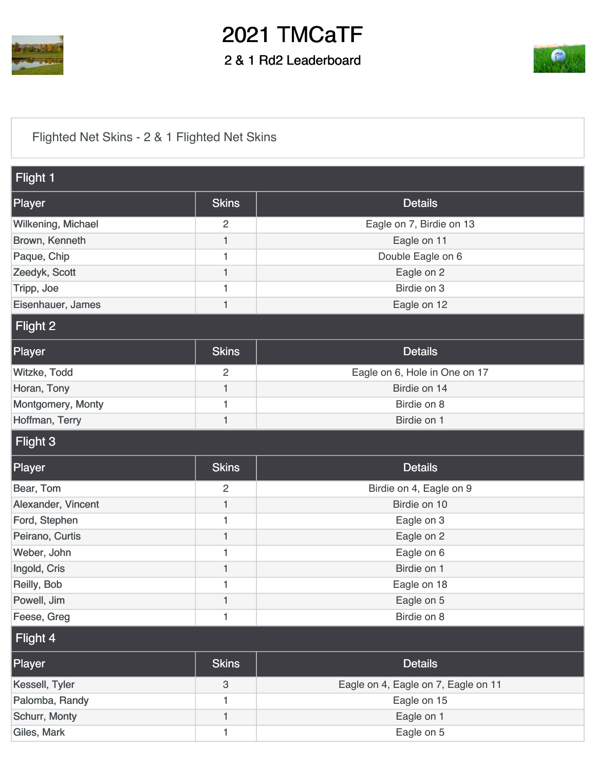

## 2021 TMCaTF

2 & 1 Rd2 Leaderboard



[Flighted Net Skins - 2 & 1 Flighted Net Skins](https://cdn2.golfgenius.com/v2tournaments/7480048561753701231?called_from=&round_index=12)

| Flight 1           |                |                                     |
|--------------------|----------------|-------------------------------------|
| Player             | <b>Skins</b>   | <b>Details</b>                      |
| Wilkening, Michael | $\overline{2}$ | Eagle on 7, Birdie on 13            |
| Brown, Kenneth     | 1              | Eagle on 11                         |
| Paque, Chip        | 1              | Double Eagle on 6                   |
| Zeedyk, Scott      | 1              | Eagle on 2                          |
| Tripp, Joe         | 1              | Birdie on 3                         |
| Eisenhauer, James  | $\mathbf{1}$   | Eagle on 12                         |
| Flight 2           |                |                                     |
| Player             | <b>Skins</b>   | <b>Details</b>                      |
| Witzke, Todd       | 2              | Eagle on 6, Hole in One on 17       |
| Horan, Tony        | 1              | Birdie on 14                        |
| Montgomery, Monty  | 1              | Birdie on 8                         |
| Hoffman, Terry     | 1              | Birdie on 1                         |
| Flight 3           |                |                                     |
|                    |                |                                     |
| Player             | <b>Skins</b>   | <b>Details</b>                      |
| Bear, Tom          | $\overline{2}$ | Birdie on 4, Eagle on 9             |
| Alexander, Vincent | 1              | Birdie on 10                        |
| Ford, Stephen      | 1              | Eagle on 3                          |
| Peirano, Curtis    | 1              | Eagle on 2                          |
| Weber, John        | 1              | Eagle on 6                          |
| Ingold, Cris       | 1              | Birdie on 1                         |
| Reilly, Bob        | 1              | Eagle on 18                         |
| Powell, Jim        | 1              | Eagle on 5                          |
| Feese, Greg        | 1              | Birdie on 8                         |
| Flight 4           |                |                                     |
| Player             | <b>Skins</b>   | <b>Details</b>                      |
| Kessell, Tyler     | $\mathbf{3}$   | Eagle on 4, Eagle on 7, Eagle on 11 |
| Palomba, Randy     | 1              | Eagle on 15                         |
| Schurr, Monty      | 1              | Eagle on 1                          |